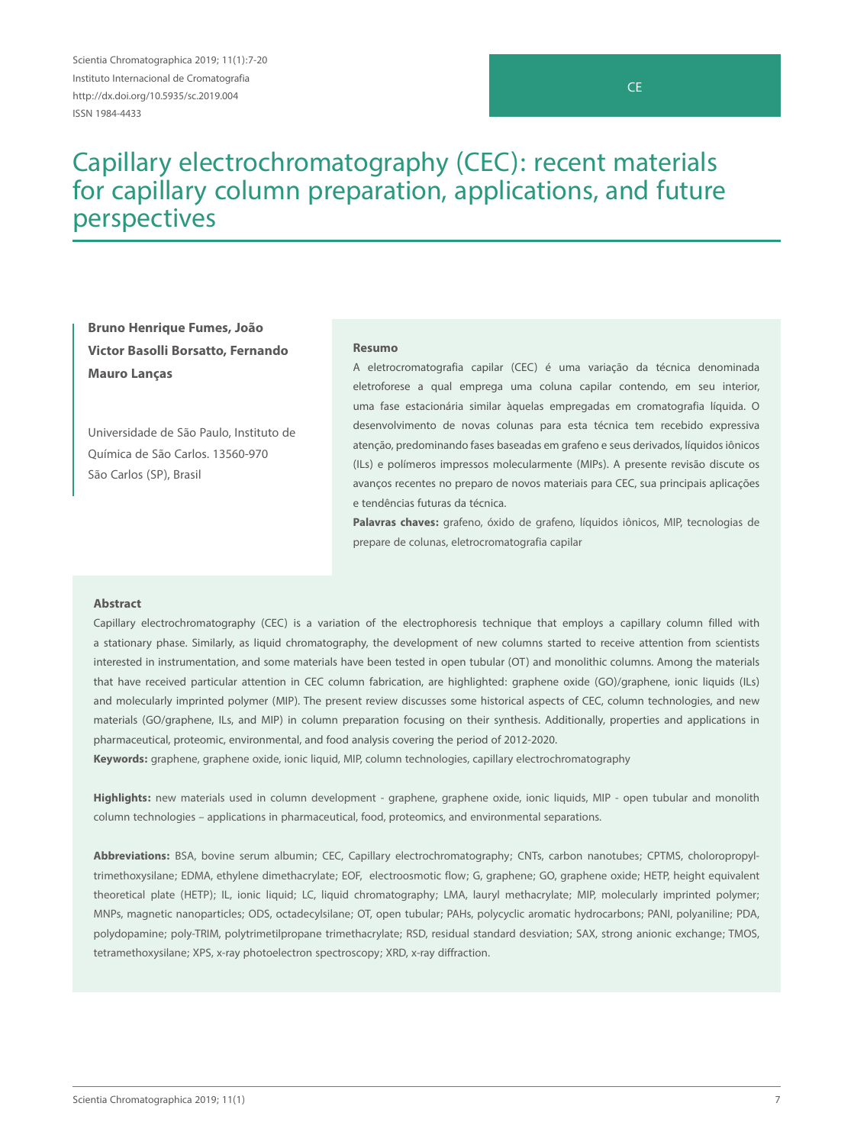Scientia Chromatographica 2019; 11(1):7-20 Instituto Internacional de Cromatografia http://dx.doi.org/10.5935/sc.2019.004 ISSN 1984-4433

# CE

# Capillary electrochromatography (CEC): recent materials for capillary column preparation, applications, and future perspectives

**Bruno Henrique Fumes, João Victor Basolli Borsatto, Fernando Mauro Lanças**

Universidade de São Paulo, Instituto de Química de São Carlos. 13560-970 São Carlos (SP), Brasil

#### **Resumo**

A eletrocromatografia capilar (CEC) é uma variação da técnica denominada eletroforese a qual emprega uma coluna capilar contendo, em seu interior, uma fase estacionária similar àquelas empregadas em cromatografia líquida. O desenvolvimento de novas colunas para esta técnica tem recebido expressiva atenção, predominando fases baseadas em grafeno e seus derivados, líquidos iônicos (ILs) e polímeros impressos molecularmente (MIPs). A presente revisão discute os avanços recentes no preparo de novos materiais para CEC, sua principais aplicações e tendências futuras da técnica.

**Palavras chaves:** grafeno, óxido de grafeno, líquidos iônicos, MIP, tecnologias de prepare de colunas, eletrocromatografia capilar

#### **Abstract**

Capillary electrochromatography (CEC) is a variation of the electrophoresis technique that employs a capillary column filled with a stationary phase. Similarly, as liquid chromatography, the development of new columns started to receive attention from scientists interested in instrumentation, and some materials have been tested in open tubular (OT) and monolithic columns. Among the materials that have received particular attention in CEC column fabrication, are highlighted: graphene oxide (GO)/graphene, ionic liquids (ILs) and molecularly imprinted polymer (MIP). The present review discusses some historical aspects of CEC, column technologies, and new materials (GO/graphene, ILs, and MIP) in column preparation focusing on their synthesis. Additionally, properties and applications in pharmaceutical, proteomic, environmental, and food analysis covering the period of 2012-2020.

**Keywords:** graphene, graphene oxide, ionic liquid, MIP, column technologies, capillary electrochromatography

**Highlights:** new materials used in column development - graphene, graphene oxide, ionic liquids, MIP - open tubular and monolith column technologies – applications in pharmaceutical, food, proteomics, and environmental separations.

**Abbreviations:** BSA, bovine serum albumin; CEC, Capillary electrochromatography; CNTs, carbon nanotubes; CPTMS, choloropropyltrimethoxysilane; EDMA, ethylene dimethacrylate; EOF, electroosmotic flow; G, graphene; GO, graphene oxide; HETP, height equivalent theoretical plate (HETP); IL, ionic liquid; LC, liquid chromatography; LMA, lauryl methacrylate; MIP, molecularly imprinted polymer; MNPs, magnetic nanoparticles; ODS, octadecylsilane; OT, open tubular; PAHs, polycyclic aromatic hydrocarbons; PANI, polyaniline; PDA, polydopamine; poly-TRIM, polytrimetilpropane trimethacrylate; RSD, residual standard desviation; SAX, strong anionic exchange; TMOS, tetramethoxysilane; XPS, x-ray photoelectron spectroscopy; XRD, x-ray diffraction.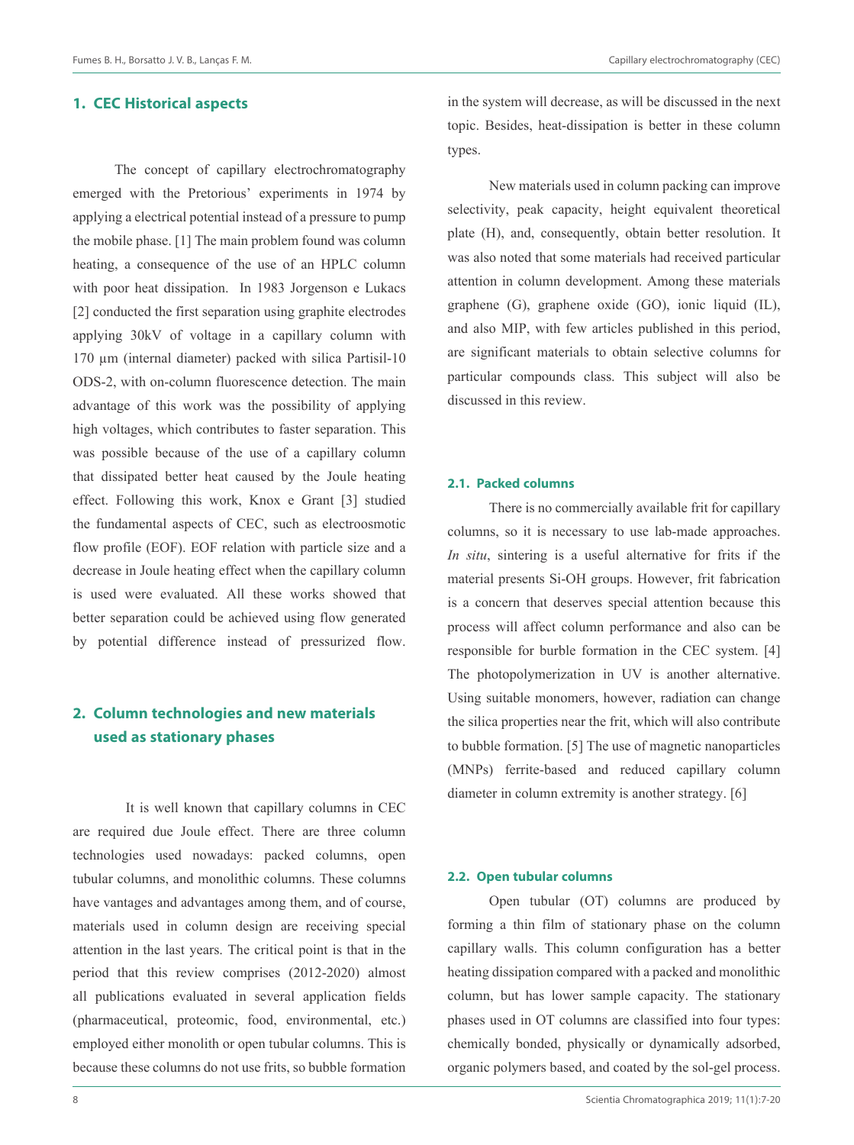## **1. CEC Historical aspects**

The concept of capillary electrochromatography emerged with the Pretorious' experiments in 1974 by applying a electrical potential instead of a pressure to pump the mobile phase. [1] The main problem found was column heating, a consequence of the use of an HPLC column with poor heat dissipation. In 1983 Jorgenson e Lukacs [2] conducted the first separation using graphite electrodes applying 30kV of voltage in a capillary column with 170 µm (internal diameter) packed with silica Partisil-10 ODS-2, with on-column fluorescence detection. The main advantage of this work was the possibility of applying high voltages, which contributes to faster separation. This was possible because of the use of a capillary column that dissipated better heat caused by the Joule heating effect. Following this work, Knox e Grant [3] studied the fundamental aspects of CEC, such as electroosmotic flow profile (EOF). EOF relation with particle size and a decrease in Joule heating effect when the capillary column is used were evaluated. All these works showed that better separation could be achieved using flow generated by potential difference instead of pressurized flow.

# **2. Column technologies and new materials used as stationary phases**

It is well known that capillary columns in CEC are required due Joule effect. There are three column technologies used nowadays: packed columns, open tubular columns, and monolithic columns. These columns have vantages and advantages among them, and of course, materials used in column design are receiving special attention in the last years. The critical point is that in the period that this review comprises (2012-2020) almost all publications evaluated in several application fields (pharmaceutical, proteomic, food, environmental, etc.) employed either monolith or open tubular columns. This is because these columns do not use frits, so bubble formation

in the system will decrease, as will be discussed in the next topic. Besides, heat-dissipation is better in these column types.

New materials used in column packing can improve selectivity, peak capacity, height equivalent theoretical plate (H), and, consequently, obtain better resolution. It was also noted that some materials had received particular attention in column development. Among these materials graphene (G), graphene oxide (GO), ionic liquid (IL), and also MIP, with few articles published in this period, are significant materials to obtain selective columns for particular compounds class. This subject will also be discussed in this review.

#### **2.1. Packed columns**

There is no commercially available frit for capillary columns, so it is necessary to use lab-made approaches. *In situ*, sintering is a useful alternative for frits if the material presents Si-OH groups. However, frit fabrication is a concern that deserves special attention because this process will affect column performance and also can be responsible for burble formation in the CEC system. [4] The photopolymerization in UV is another alternative. Using suitable monomers, however, radiation can change the silica properties near the frit, which will also contribute to bubble formation. [5] The use of magnetic nanoparticles (MNPs) ferrite-based and reduced capillary column diameter in column extremity is another strategy. [6]

#### **2.2. Open tubular columns**

Open tubular (OT) columns are produced by forming a thin film of stationary phase on the column capillary walls. This column configuration has a better heating dissipation compared with a packed and monolithic column, but has lower sample capacity. The stationary phases used in OT columns are classified into four types: chemically bonded, physically or dynamically adsorbed, organic polymers based, and coated by the sol-gel process.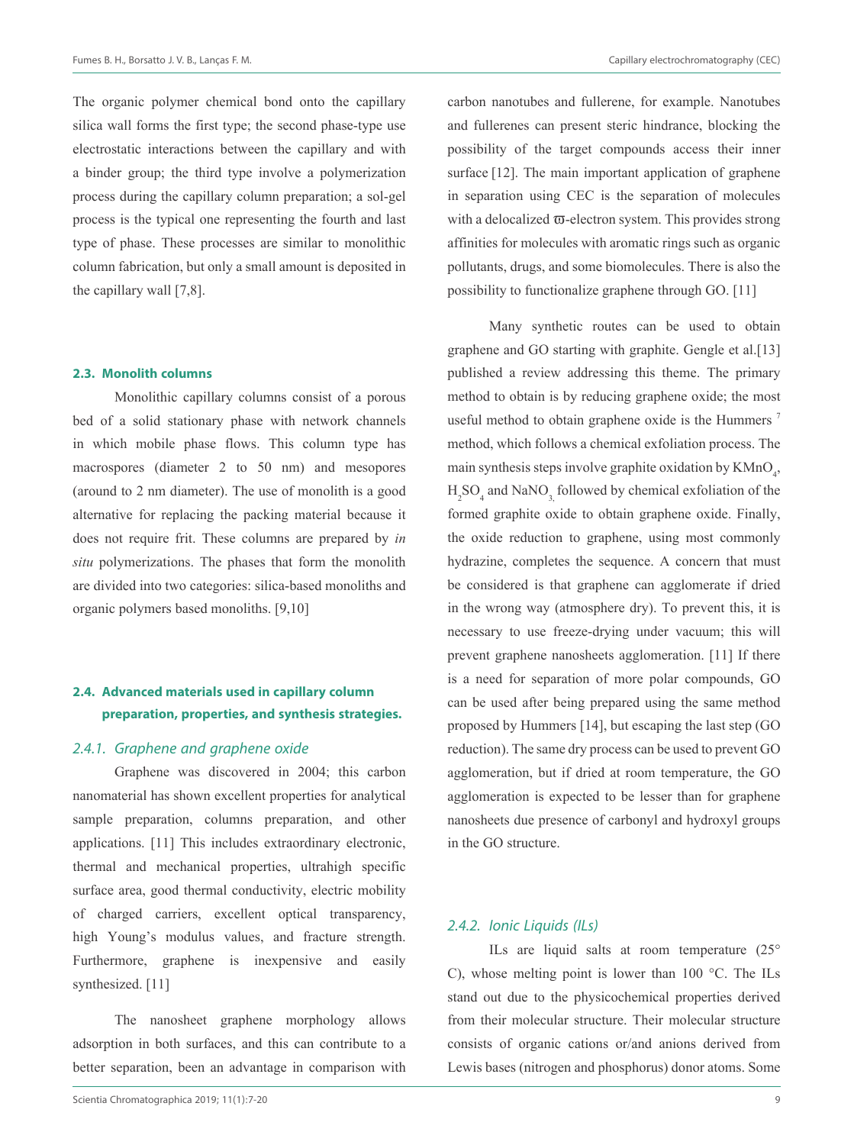The organic polymer chemical bond onto the capillary silica wall forms the first type; the second phase-type use electrostatic interactions between the capillary and with a binder group; the third type involve a polymerization process during the capillary column preparation; a sol-gel process is the typical one representing the fourth and last type of phase. These processes are similar to monolithic column fabrication, but only a small amount is deposited in the capillary wall [7,8].

#### **2.3. Monolith columns**

Monolithic capillary columns consist of a porous bed of a solid stationary phase with network channels in which mobile phase flows. This column type has macrospores (diameter 2 to 50 nm) and mesopores (around to 2 nm diameter). The use of monolith is a good alternative for replacing the packing material because it does not require frit. These columns are prepared by *in situ* polymerizations. The phases that form the monolith are divided into two categories: silica-based monoliths and organic polymers based monoliths. [9,10]

# **2.4. Advanced materials used in capillary column preparation, properties, and synthesis strategies.**

#### 2.4.1. Graphene and graphene oxide

Graphene was discovered in 2004; this carbon nanomaterial has shown excellent properties for analytical sample preparation, columns preparation, and other applications. [11] This includes extraordinary electronic, thermal and mechanical properties, ultrahigh specific surface area, good thermal conductivity, electric mobility of charged carriers, excellent optical transparency, high Young's modulus values, and fracture strength. Furthermore, graphene is inexpensive and easily synthesized. [11]

The nanosheet graphene morphology allows adsorption in both surfaces, and this can contribute to a better separation, been an advantage in comparison with carbon nanotubes and fullerene, for example. Nanotubes and fullerenes can present steric hindrance, blocking the possibility of the target compounds access their inner surface [12]. The main important application of graphene in separation using CEC is the separation of molecules with a delocalized  $\overline{\omega}$ -electron system. This provides strong affinities for molecules with aromatic rings such as organic pollutants, drugs, and some biomolecules. There is also the possibility to functionalize graphene through GO. [11]

Many synthetic routes can be used to obtain graphene and GO starting with graphite. Gengle et al.[13] published a review addressing this theme. The primary method to obtain is by reducing graphene oxide; the most useful method to obtain graphene oxide is the Hummers<sup>7</sup> method, which follows a chemical exfoliation process. The main synthesis steps involve graphite oxidation by  $KMD_{4}$ ,  $H_2SO_4$  and NaNO<sub>3,</sub> followed by chemical exfoliation of the formed graphite oxide to obtain graphene oxide. Finally, the oxide reduction to graphene, using most commonly hydrazine, completes the sequence. A concern that must be considered is that graphene can agglomerate if dried in the wrong way (atmosphere dry). To prevent this, it is necessary to use freeze-drying under vacuum; this will prevent graphene nanosheets agglomeration. [11] If there is a need for separation of more polar compounds, GO can be used after being prepared using the same method proposed by Hummers [14], but escaping the last step (GO reduction). The same dry process can be used to prevent GO agglomeration, but if dried at room temperature, the GO agglomeration is expected to be lesser than for graphene nanosheets due presence of carbonyl and hydroxyl groups in the GO structure.

#### 2.4.2. Ionic Liquids (ILs)

ILs are liquid salts at room temperature (25° C), whose melting point is lower than 100 °C. The ILs stand out due to the physicochemical properties derived from their molecular structure. Their molecular structure consists of organic cations or/and anions derived from Lewis bases (nitrogen and phosphorus) donor atoms. Some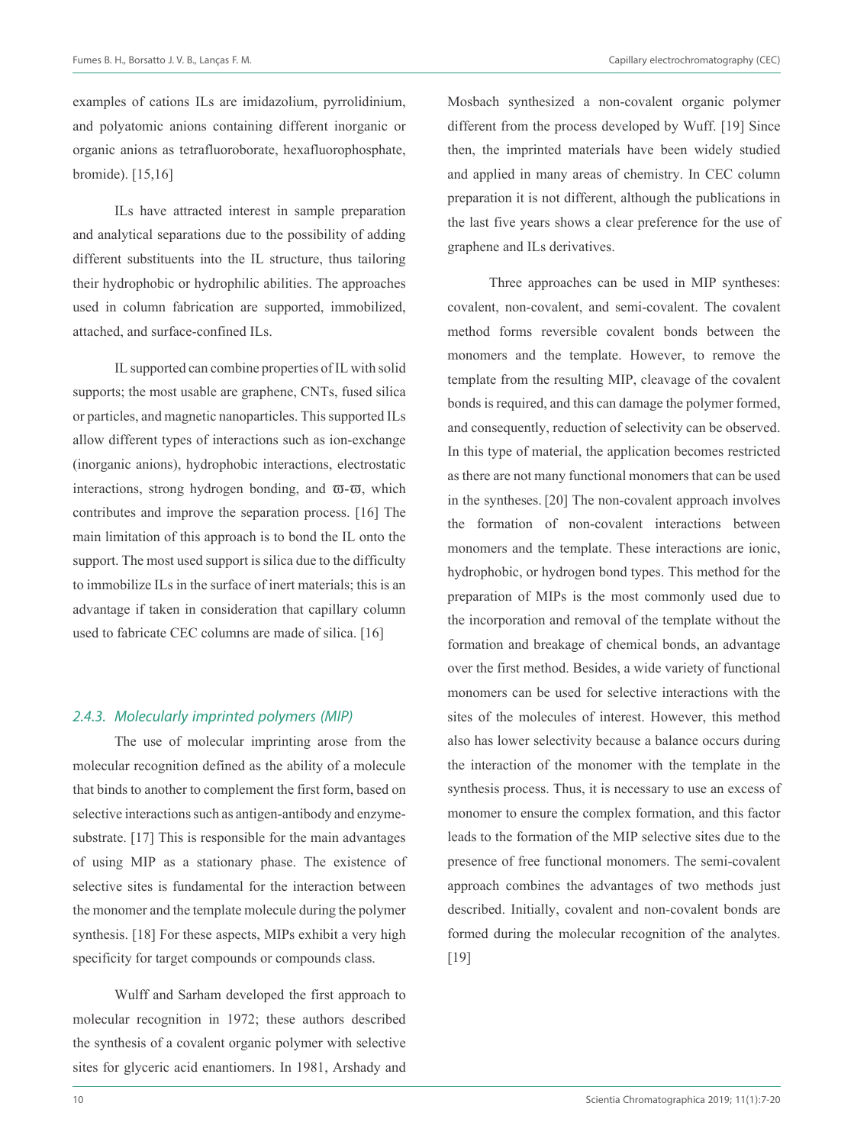examples of cations ILs are imidazolium, pyrrolidinium, and polyatomic anions containing different inorganic or organic anions as tetrafluoroborate, hexafluorophosphate, bromide). [15,16]

ILs have attracted interest in sample preparation and analytical separations due to the possibility of adding different substituents into the IL structure, thus tailoring their hydrophobic or hydrophilic abilities. The approaches used in column fabrication are supported, immobilized, attached, and surface-confined ILs.

IL supported can combine properties of IL with solid supports; the most usable are graphene, CNTs, fused silica or particles, and magnetic nanoparticles. This supported ILs allow different types of interactions such as ion-exchange (inorganic anions), hydrophobic interactions, electrostatic interactions, strong hydrogen bonding, and  $\overline{\omega}$ - $\overline{\omega}$ , which contributes and improve the separation process. [16] The main limitation of this approach is to bond the IL onto the support. The most used support is silica due to the difficulty to immobilize ILs in the surface of inert materials; this is an advantage if taken in consideration that capillary column used to fabricate CEC columns are made of silica. [16]

## 2.4.3. Molecularly imprinted polymers (MIP)

The use of molecular imprinting arose from the molecular recognition defined as the ability of a molecule that binds to another to complement the first form, based on selective interactions such as antigen-antibody and enzymesubstrate. [17] This is responsible for the main advantages of using MIP as a stationary phase. The existence of selective sites is fundamental for the interaction between the monomer and the template molecule during the polymer synthesis. [18] For these aspects, MIPs exhibit a very high specificity for target compounds or compounds class.

Wulff and Sarham developed the first approach to molecular recognition in 1972; these authors described the synthesis of a covalent organic polymer with selective sites for glyceric acid enantiomers. In 1981, Arshady and Mosbach synthesized a non-covalent organic polymer different from the process developed by Wuff. [19] Since then, the imprinted materials have been widely studied and applied in many areas of chemistry. In CEC column preparation it is not different, although the publications in the last five years shows a clear preference for the use of graphene and ILs derivatives.

Three approaches can be used in MIP syntheses: covalent, non-covalent, and semi-covalent. The covalent method forms reversible covalent bonds between the monomers and the template. However, to remove the template from the resulting MIP, cleavage of the covalent bonds is required, and this can damage the polymer formed, and consequently, reduction of selectivity can be observed. In this type of material, the application becomes restricted as there are not many functional monomers that can be used in the syntheses. [20] The non-covalent approach involves the formation of non-covalent interactions between monomers and the template. These interactions are ionic, hydrophobic, or hydrogen bond types. This method for the preparation of MIPs is the most commonly used due to the incorporation and removal of the template without the formation and breakage of chemical bonds, an advantage over the first method. Besides, a wide variety of functional monomers can be used for selective interactions with the sites of the molecules of interest. However, this method also has lower selectivity because a balance occurs during the interaction of the monomer with the template in the synthesis process. Thus, it is necessary to use an excess of monomer to ensure the complex formation, and this factor leads to the formation of the MIP selective sites due to the presence of free functional monomers. The semi-covalent approach combines the advantages of two methods just described. Initially, covalent and non-covalent bonds are formed during the molecular recognition of the analytes. [19]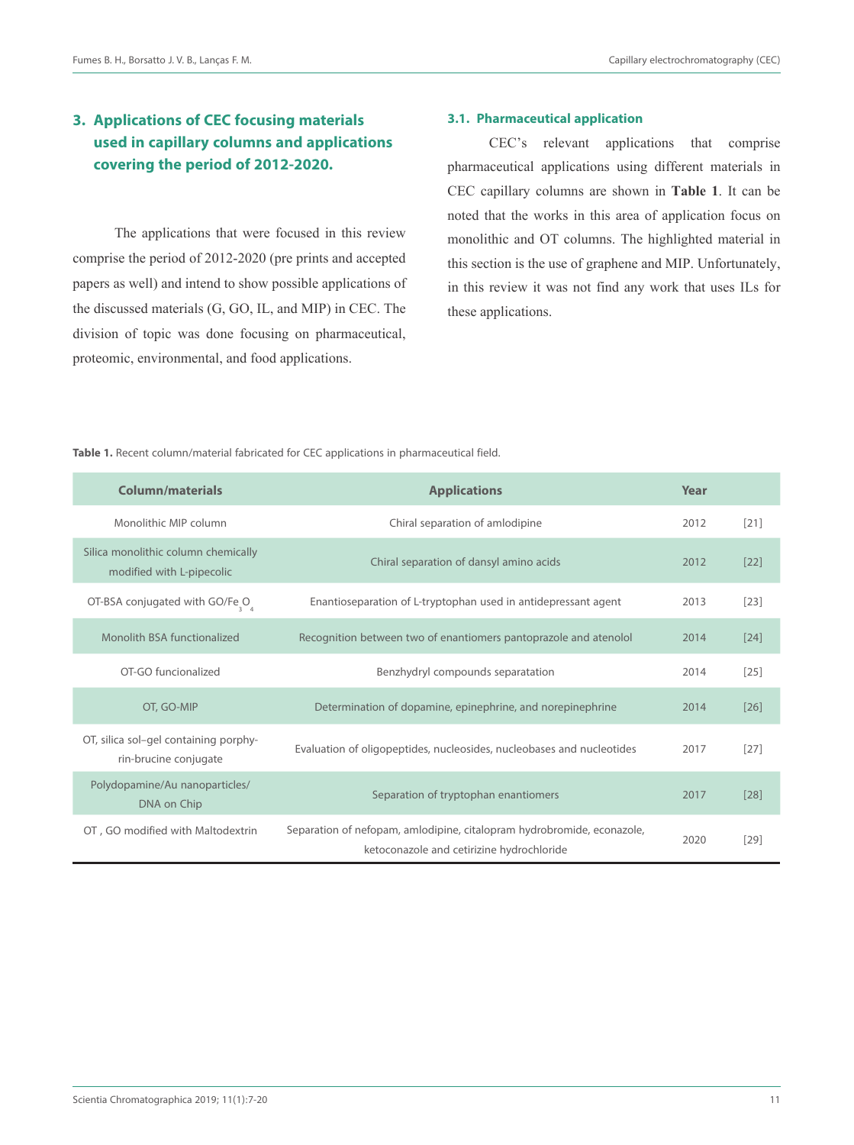# **3. Applications of CEC focusing materials used in capillary columns and applications covering the period of 2012-2020.**

The applications that were focused in this review comprise the period of 2012-2020 (pre prints and accepted papers as well) and intend to show possible applications of the discussed materials (G, GO, IL, and MIP) in CEC. The division of topic was done focusing on pharmaceutical, proteomic, environmental, and food applications.

## **3.1. Pharmaceutical application**

CEC's relevant applications that comprise pharmaceutical applications using different materials in CEC capillary columns are shown in **Table 1**. It can be noted that the works in this area of application focus on monolithic and OT columns. The highlighted material in this section is the use of graphene and MIP. Unfortunately, in this review it was not find any work that uses ILs for these applications.

**Table 1.** Recent column/material fabricated for CEC applications in pharmaceutical field.

| <b>Column/materials</b>                                          | <b>Applications</b>                                                                                                 | Year |        |
|------------------------------------------------------------------|---------------------------------------------------------------------------------------------------------------------|------|--------|
| Monolithic MIP column                                            | Chiral separation of amlodipine                                                                                     | 2012 | $[21]$ |
| Silica monolithic column chemically<br>modified with L-pipecolic | Chiral separation of dansyl amino acids                                                                             | 2012 | $[22]$ |
| OT-BSA conjugated with GO/Fe <sub>3</sub> O <sub>4</sub>         | Enantioseparation of L-tryptophan used in antidepressant agent                                                      | 2013 | $[23]$ |
| Monolith BSA functionalized                                      | Recognition between two of enantiomers pantoprazole and atenolol                                                    | 2014 | [24]   |
| OT-GO funcionalized                                              | Benzhydryl compounds separatation                                                                                   | 2014 | $[25]$ |
| OT, GO-MIP                                                       | Determination of dopamine, epinephrine, and norepinephrine                                                          | 2014 | [26]   |
| OT, silica sol-gel containing porphy-<br>rin-brucine conjugate   | Evaluation of oligopeptides, nucleosides, nucleobases and nucleotides                                               | 2017 | $[27]$ |
| Polydopamine/Au nanoparticles/<br>DNA on Chip                    | Separation of tryptophan enantiomers                                                                                | 2017 | [28]   |
| OT, GO modified with Maltodextrin                                | Separation of nefopam, amlodipine, citalopram hydrobromide, econazole,<br>ketoconazole and cetirizine hydrochloride | 2020 | [29]   |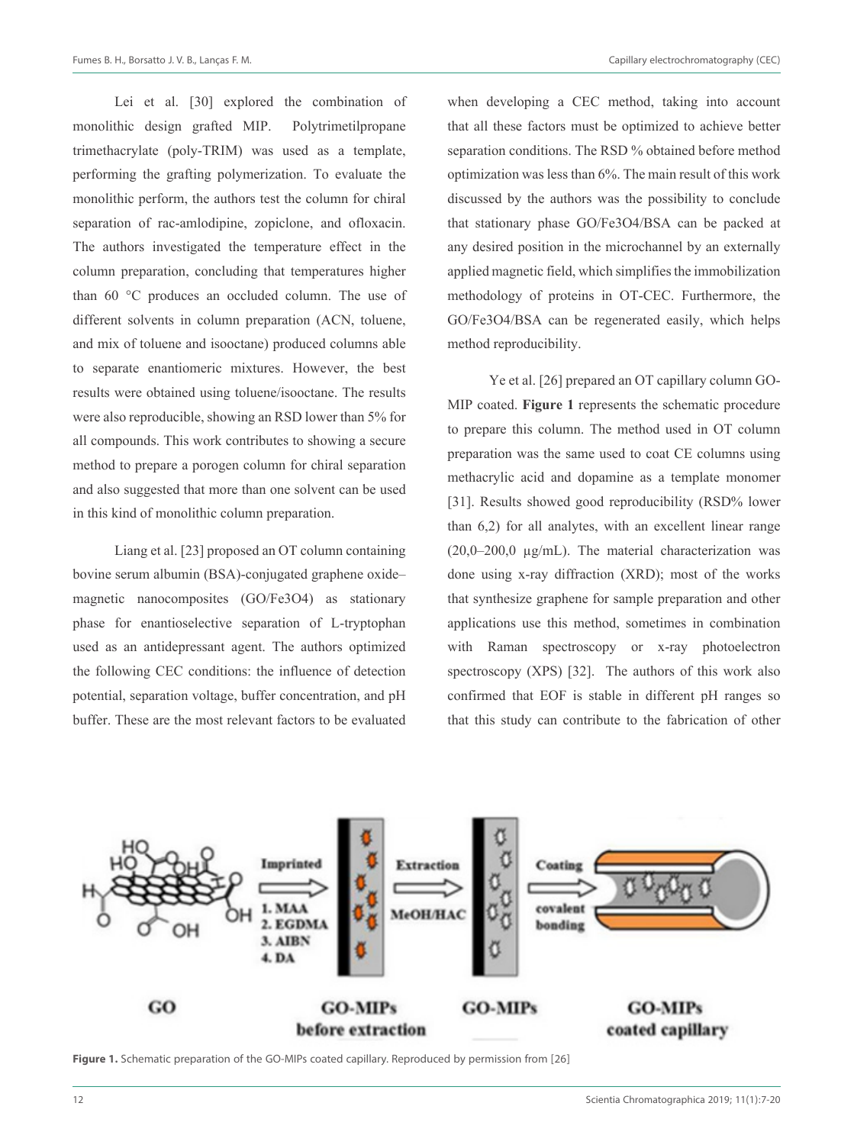Lei et al. [30] explored the combination of monolithic design grafted MIP. Polytrimetilpropane trimethacrylate (poly-TRIM) was used as a template, performing the grafting polymerization. To evaluate the monolithic perform, the authors test the column for chiral separation of rac-amlodipine, zopiclone, and ofloxacin. The authors investigated the temperature effect in the column preparation, concluding that temperatures higher than 60 °C produces an occluded column. The use of different solvents in column preparation (ACN, toluene, and mix of toluene and isooctane) produced columns able to separate enantiomeric mixtures. However, the best results were obtained using toluene/isooctane. The results were also reproducible, showing an RSD lower than 5% for all compounds. This work contributes to showing a secure method to prepare a porogen column for chiral separation and also suggested that more than one solvent can be used in this kind of monolithic column preparation.

Liang et al. [23] proposed an OT column containing bovine serum albumin (BSA)-conjugated graphene oxide– magnetic nanocomposites (GO/Fe3O4) as stationary phase for enantioselective separation of L-tryptophan used as an antidepressant agent. The authors optimized the following CEC conditions: the influence of detection potential, separation voltage, buffer concentration, and pH buffer. These are the most relevant factors to be evaluated

when developing a CEC method, taking into account that all these factors must be optimized to achieve better separation conditions. The RSD % obtained before method optimization was less than 6%. The main result of this work discussed by the authors was the possibility to conclude that stationary phase GO/Fe3O4/BSA can be packed at any desired position in the microchannel by an externally applied magnetic field, which simplifies the immobilization methodology of proteins in OT-CEC. Furthermore, the GO/Fe3O4/BSA can be regenerated easily, which helps method reproducibility.

Ye et al. [26] prepared an OT capillary column GO-MIP coated. **Figure 1** represents the schematic procedure to prepare this column. The method used in OT column preparation was the same used to coat CE columns using methacrylic acid and dopamine as a template monomer [31]. Results showed good reproducibility (RSD% lower than 6,2) for all analytes, with an excellent linear range  $(20,0–200,0 \mu g/mL)$ . The material characterization was done using x-ray diffraction (XRD); most of the works that synthesize graphene for sample preparation and other applications use this method, sometimes in combination with Raman spectroscopy or x-ray photoelectron spectroscopy (XPS) [32]. The authors of this work also confirmed that EOF is stable in different pH ranges so that this study can contribute to the fabrication of other



Figure 1. Schematic preparation of the GO-MIPs coated capillary. Reproduced by permission from [26]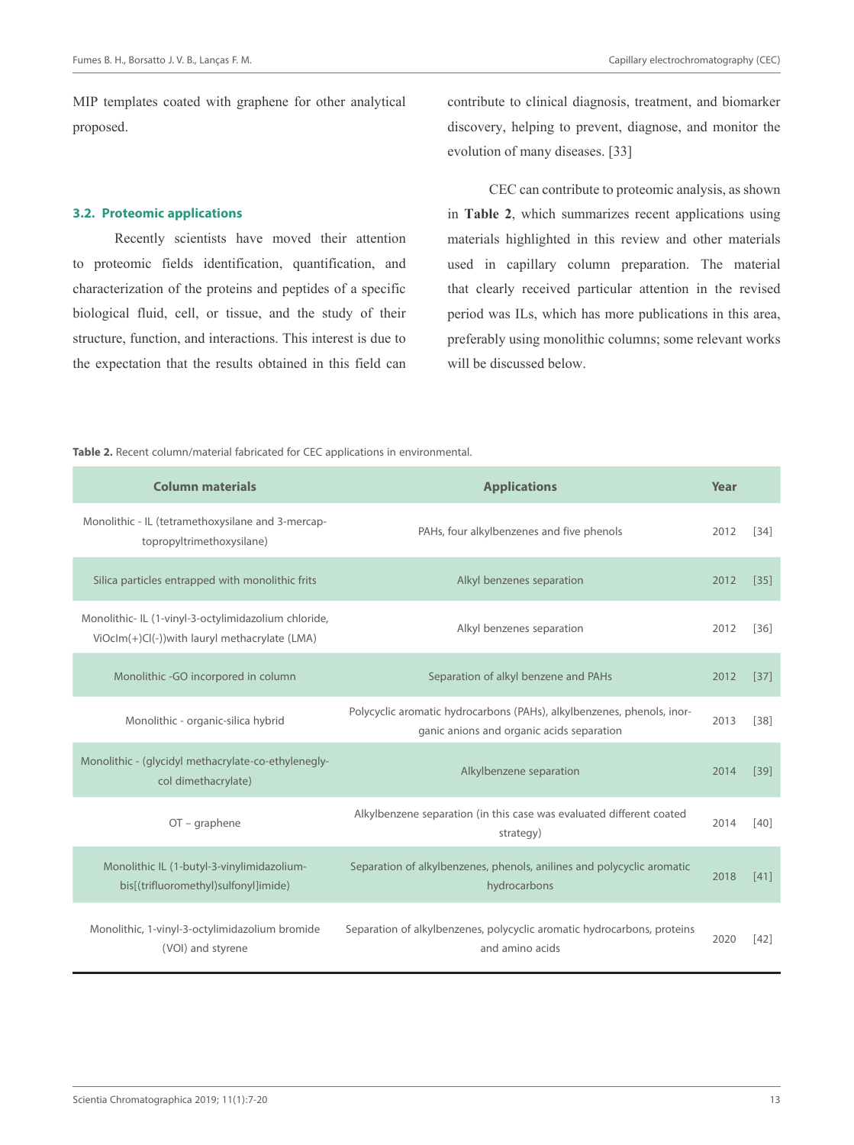MIP templates coated with graphene for other analytical proposed.

#### **3.2. Proteomic applications**

Recently scientists have moved their attention to proteomic fields identification, quantification, and characterization of the proteins and peptides of a specific biological fluid, cell, or tissue, and the study of their structure, function, and interactions. This interest is due to the expectation that the results obtained in this field can contribute to clinical diagnosis, treatment, and biomarker discovery, helping to prevent, diagnose, and monitor the evolution of many diseases. [33]

CEC can contribute to proteomic analysis, as shown in **Table 2**, which summarizes recent applications using materials highlighted in this review and other materials used in capillary column preparation. The material that clearly received particular attention in the revised period was ILs, which has more publications in this area, preferably using monolithic columns; some relevant works will be discussed below.

**Table 2.** Recent column/material fabricated for CEC applications in environmental.

| <b>Column materials</b>                                                                               | <b>Applications</b>                                                                                                 | Year |        |
|-------------------------------------------------------------------------------------------------------|---------------------------------------------------------------------------------------------------------------------|------|--------|
| Monolithic - IL (tetramethoxysilane and 3-mercap-<br>topropyltrimethoxysilane)                        | PAHs, four alkylbenzenes and five phenols                                                                           | 2012 | $[34]$ |
| Silica particles entrapped with monolithic frits                                                      | Alkyl benzenes separation                                                                                           | 2012 | $[35]$ |
| Monolithic- IL (1-vinyl-3-octylimidazolium chloride,<br>ViOcIm(+)Cl(-))with lauryl methacrylate (LMA) | Alkyl benzenes separation                                                                                           | 2012 | $[36]$ |
| Monolithic -GO incorpored in column                                                                   | Separation of alkyl benzene and PAHs                                                                                | 2012 | $[37]$ |
| Monolithic - organic-silica hybrid                                                                    | Polycyclic aromatic hydrocarbons (PAHs), alkylbenzenes, phenols, inor-<br>ganic anions and organic acids separation | 2013 | $[38]$ |
| Monolithic - (glycidyl methacrylate-co-ethylenegly-<br>col dimethacrylate)                            | Alkylbenzene separation                                                                                             | 2014 | $[39]$ |
| $OT$ – graphene                                                                                       | Alkylbenzene separation (in this case was evaluated different coated<br>strategy)                                   | 2014 | [40]   |
| Monolithic IL (1-butyl-3-vinylimidazolium-<br>bis[(trifluoromethyl)sulfonyl]imide)                    | Separation of alkylbenzenes, phenols, anilines and polycyclic aromatic<br>hydrocarbons                              | 2018 | [41]   |
| Monolithic, 1-vinyl-3-octylimidazolium bromide<br>(VOI) and styrene                                   | Separation of alkylbenzenes, polycyclic aromatic hydrocarbons, proteins<br>and amino acids                          | 2020 | $[42]$ |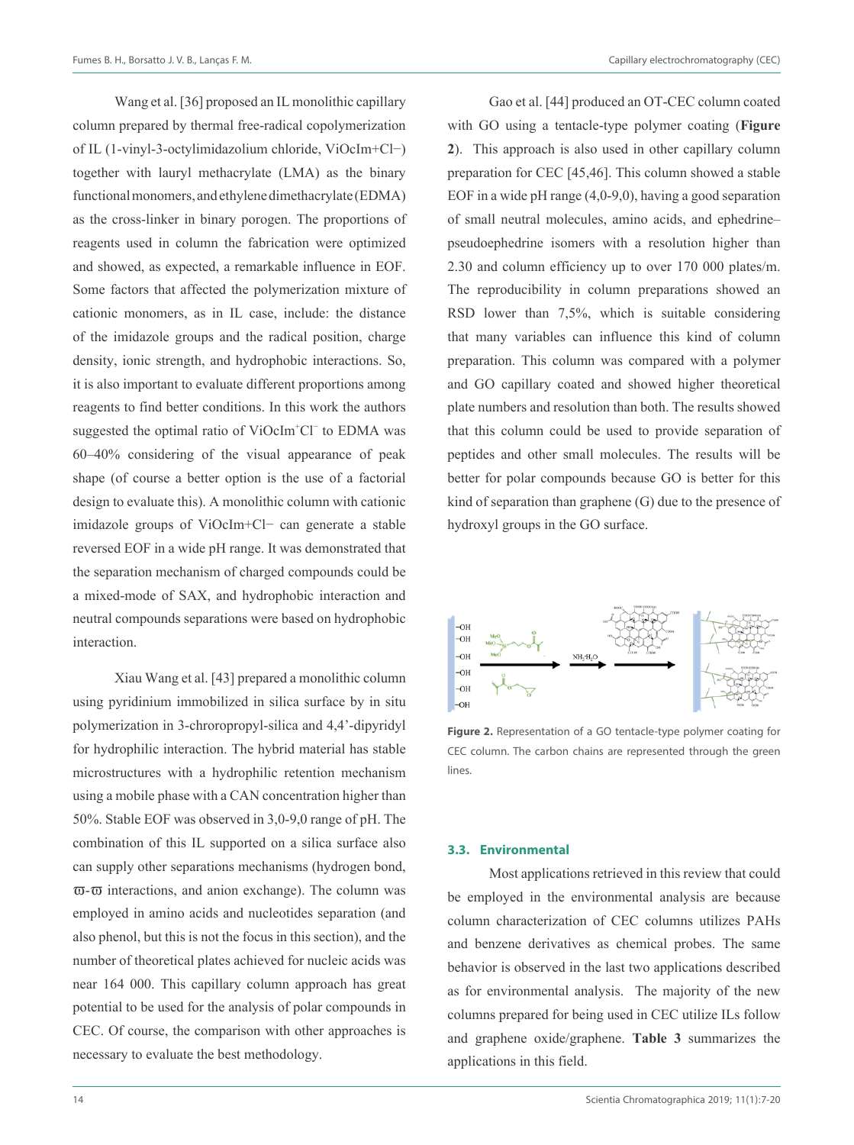Wang et al. [36] proposed an IL monolithic capillary column prepared by thermal free-radical copolymerization of IL (1-vinyl-3-octylimidazolium chloride, ViOcIm+Cl−) together with lauryl methacrylate (LMA) as the binary functional monomers, and ethylene dimethacrylate (EDMA) as the cross-linker in binary porogen. The proportions of reagents used in column the fabrication were optimized and showed, as expected, a remarkable influence in EOF. Some factors that affected the polymerization mixture of cationic monomers, as in IL case, include: the distance of the imidazole groups and the radical position, charge density, ionic strength, and hydrophobic interactions. So, it is also important to evaluate different proportions among reagents to find better conditions. In this work the authors suggested the optimal ratio of ViOcIm<sup>+</sup>Cl<sup>−</sup> to EDMA was 60–40% considering of the visual appearance of peak shape (of course a better option is the use of a factorial design to evaluate this). A monolithic column with cationic imidazole groups of ViOcIm+Cl− can generate a stable reversed EOF in a wide pH range. It was demonstrated that the separation mechanism of charged compounds could be a mixed-mode of SAX, and hydrophobic interaction and neutral compounds separations were based on hydrophobic interaction.

Xiau Wang et al. [43] prepared a monolithic column using pyridinium immobilized in silica surface by in situ polymerization in 3-chroropropyl-silica and 4,4'-dipyridyl for hydrophilic interaction. The hybrid material has stable microstructures with a hydrophilic retention mechanism using a mobile phase with a CAN concentration higher than 50%. Stable EOF was observed in 3,0-9,0 range of pH. The combination of this IL supported on a silica surface also can supply other separations mechanisms (hydrogen bond,  $\overline{\omega}$ - $\overline{\omega}$  interactions, and anion exchange). The column was employed in amino acids and nucleotides separation (and also phenol, but this is not the focus in this section), and the number of theoretical plates achieved for nucleic acids was near 164 000. This capillary column approach has great potential to be used for the analysis of polar compounds in CEC. Of course, the comparison with other approaches is necessary to evaluate the best methodology.

Gao et al. [44] produced an OT-CEC column coated with GO using a tentacle-type polymer coating (**Figure 2**). This approach is also used in other capillary column preparation for CEC [45,46]. This column showed a stable EOF in a wide pH range (4,0-9,0), having a good separation of small neutral molecules, amino acids, and ephedrine– pseudoephedrine isomers with a resolution higher than 2.30 and column efficiency up to over 170 000 plates/m. The reproducibility in column preparations showed an RSD lower than 7,5%, which is suitable considering that many variables can influence this kind of column preparation. This column was compared with a polymer and GO capillary coated and showed higher theoretical plate numbers and resolution than both. The results showed that this column could be used to provide separation of peptides and other small molecules. The results will be better for polar compounds because GO is better for this kind of separation than graphene (G) due to the presence of hydroxyl groups in the GO surface.



**Figure 2.** Representation of a GO tentacle-type polymer coating for CEC column. The carbon chains are represented through the green lines.

#### **3.3. Environmental**

Most applications retrieved in this review that could be employed in the environmental analysis are because column characterization of CEC columns utilizes PAHs and benzene derivatives as chemical probes. The same behavior is observed in the last two applications described as for environmental analysis. The majority of the new columns prepared for being used in CEC utilize ILs follow and graphene oxide/graphene. **Table 3** summarizes the applications in this field.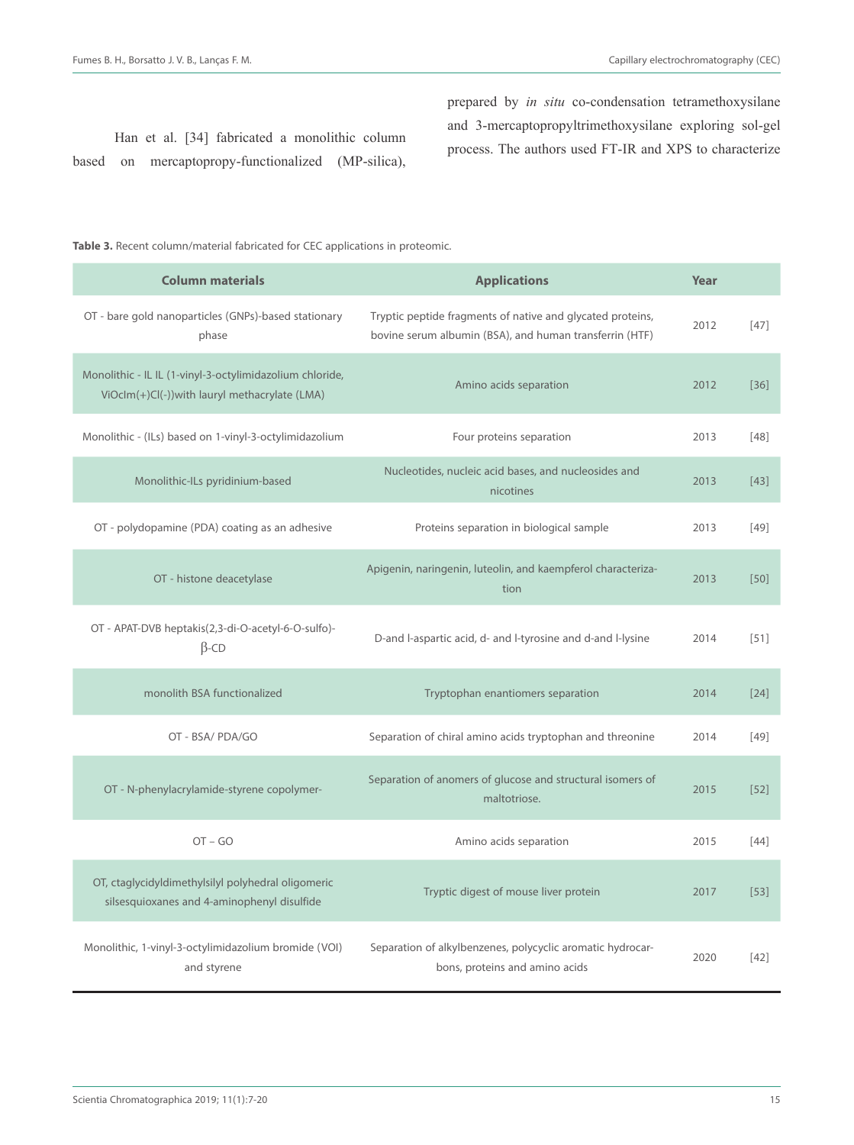Han et al. [34] fabricated a monolithic column based on mercaptopropy-functionalized (MP-silica), prepared by *in situ* co-condensation tetramethoxysilane and 3-mercaptopropyltrimethoxysilane exploring sol-gel process. The authors used FT-IR and XPS to characterize

**Table 3.** Recent column/material fabricated for CEC applications in proteomic.

| <b>Column materials</b>                                                                                   | <b>Applications</b>                                                                                                   | Year |        |
|-----------------------------------------------------------------------------------------------------------|-----------------------------------------------------------------------------------------------------------------------|------|--------|
| OT - bare gold nanoparticles (GNPs)-based stationary<br>phase                                             | Tryptic peptide fragments of native and glycated proteins,<br>bovine serum albumin (BSA), and human transferrin (HTF) | 2012 | $[47]$ |
| Monolithic - IL IL (1-vinyl-3-octylimidazolium chloride,<br>ViOclm(+)Cl(-))with lauryl methacrylate (LMA) | Amino acids separation                                                                                                | 2012 | [36]   |
| Monolithic - (ILs) based on 1-vinyl-3-octylimidazolium                                                    | Four proteins separation                                                                                              | 2013 | $[48]$ |
| Monolithic-ILs pyridinium-based                                                                           | Nucleotides, nucleic acid bases, and nucleosides and<br>nicotines                                                     | 2013 | [43]   |
| OT - polydopamine (PDA) coating as an adhesive                                                            | Proteins separation in biological sample                                                                              | 2013 | $[49]$ |
| OT - histone deacetylase                                                                                  | Apigenin, naringenin, luteolin, and kaempferol characteriza-<br>tion                                                  | 2013 | [50]   |
| OT - APAT-DVB heptakis(2,3-di-O-acetyl-6-O-sulfo)-<br>$\beta$ -CD                                         | D-and I-aspartic acid, d- and I-tyrosine and d-and I-lysine                                                           | 2014 | $[51]$ |
| monolith BSA functionalized                                                                               | Tryptophan enantiomers separation                                                                                     | 2014 | $[24]$ |
| OT - BSA/ PDA/GO                                                                                          | Separation of chiral amino acids tryptophan and threonine                                                             | 2014 | [49]   |
| OT - N-phenylacrylamide-styrene copolymer-                                                                | Separation of anomers of glucose and structural isomers of<br>maltotriose.                                            | 2015 | $[52]$ |
| $OT - GO$                                                                                                 | Amino acids separation                                                                                                | 2015 | [44]   |
| OT, ctaglycidyldimethylsilyl polyhedral oligomeric<br>silsesquioxanes and 4-aminophenyl disulfide         | Tryptic digest of mouse liver protein                                                                                 | 2017 | $[53]$ |
| Monolithic, 1-vinyl-3-octylimidazolium bromide (VOI)<br>and styrene                                       | Separation of alkylbenzenes, polycyclic aromatic hydrocar-<br>bons, proteins and amino acids                          | 2020 | [42]   |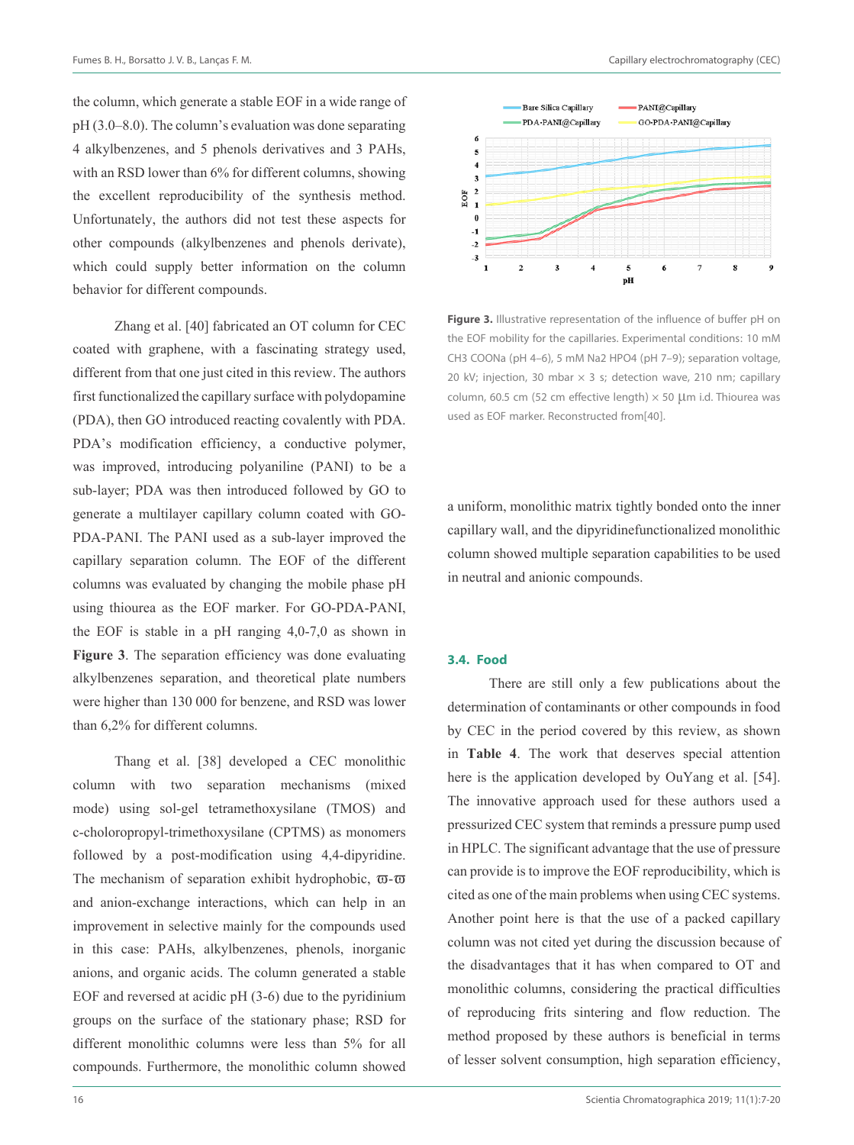the column, which generate a stable EOF in a wide range of pH (3.0–8.0). The column's evaluation was done separating 4 alkylbenzenes, and 5 phenols derivatives and 3 PAHs, with an RSD lower than 6% for different columns, showing the excellent reproducibility of the synthesis method. Unfortunately, the authors did not test these aspects for other compounds (alkylbenzenes and phenols derivate), which could supply better information on the column behavior for different compounds.

Zhang et al. [40] fabricated an OT column for CEC coated with graphene, with a fascinating strategy used, different from that one just cited in this review. The authors first functionalized the capillary surface with polydopamine (PDA), then GO introduced reacting covalently with PDA. PDA's modification efficiency, a conductive polymer, was improved, introducing polyaniline (PANI) to be a sub-layer; PDA was then introduced followed by GO to generate a multilayer capillary column coated with GO-PDA-PANI. The PANI used as a sub-layer improved the capillary separation column. The EOF of the different columns was evaluated by changing the mobile phase pH using thiourea as the EOF marker. For GO-PDA-PANI, the EOF is stable in a pH ranging 4,0-7,0 as shown in **Figure 3**. The separation efficiency was done evaluating alkylbenzenes separation, and theoretical plate numbers were higher than 130 000 for benzene, and RSD was lower than 6,2% for different columns.

Thang et al. [38] developed a CEC monolithic column with two separation mechanisms (mixed mode) using sol-gel tetramethoxysilane (TMOS) and c-choloropropyl-trimethoxysilane (CPTMS) as monomers followed by a post-modification using 4,4-dipyridine. The mechanism of separation exhibit hydrophobic,  $\overline{\omega}$ - $\overline{\omega}$ and anion-exchange interactions, which can help in an improvement in selective mainly for the compounds used in this case: PAHs, alkylbenzenes, phenols, inorganic anions, and organic acids. The column generated a stable EOF and reversed at acidic pH (3-6) due to the pyridinium groups on the surface of the stationary phase; RSD for different monolithic columns were less than 5% for all compounds. Furthermore, the monolithic column showed



**Figure 3.** Illustrative representation of the influence of buffer pH on the EOF mobility for the capillaries. Experimental conditions: 10 mM CH3 COONa (pH 4–6), 5 mM Na2 HPO4 (pH 7–9); separation voltage, 20 kV; injection, 30 mbar  $\times$  3 s; detection wave, 210 nm; capillary column, 60.5 cm (52 cm effective length)  $\times$  50 µm i.d. Thiourea was used as EOF marker. Reconstructed from[40].

a uniform, monolithic matrix tightly bonded onto the inner capillary wall, and the dipyridinefunctionalized monolithic column showed multiple separation capabilities to be used in neutral and anionic compounds.

#### **3.4. Food**

There are still only a few publications about the determination of contaminants or other compounds in food by CEC in the period covered by this review, as shown in **Table 4**. The work that deserves special attention here is the application developed by OuYang et al. [54]. The innovative approach used for these authors used a pressurized CEC system that reminds a pressure pump used in HPLC. The significant advantage that the use of pressure can provide is to improve the EOF reproducibility, which is cited as one of the main problems when using CEC systems. Another point here is that the use of a packed capillary column was not cited yet during the discussion because of the disadvantages that it has when compared to OT and monolithic columns, considering the practical difficulties of reproducing frits sintering and flow reduction. The method proposed by these authors is beneficial in terms of lesser solvent consumption, high separation efficiency,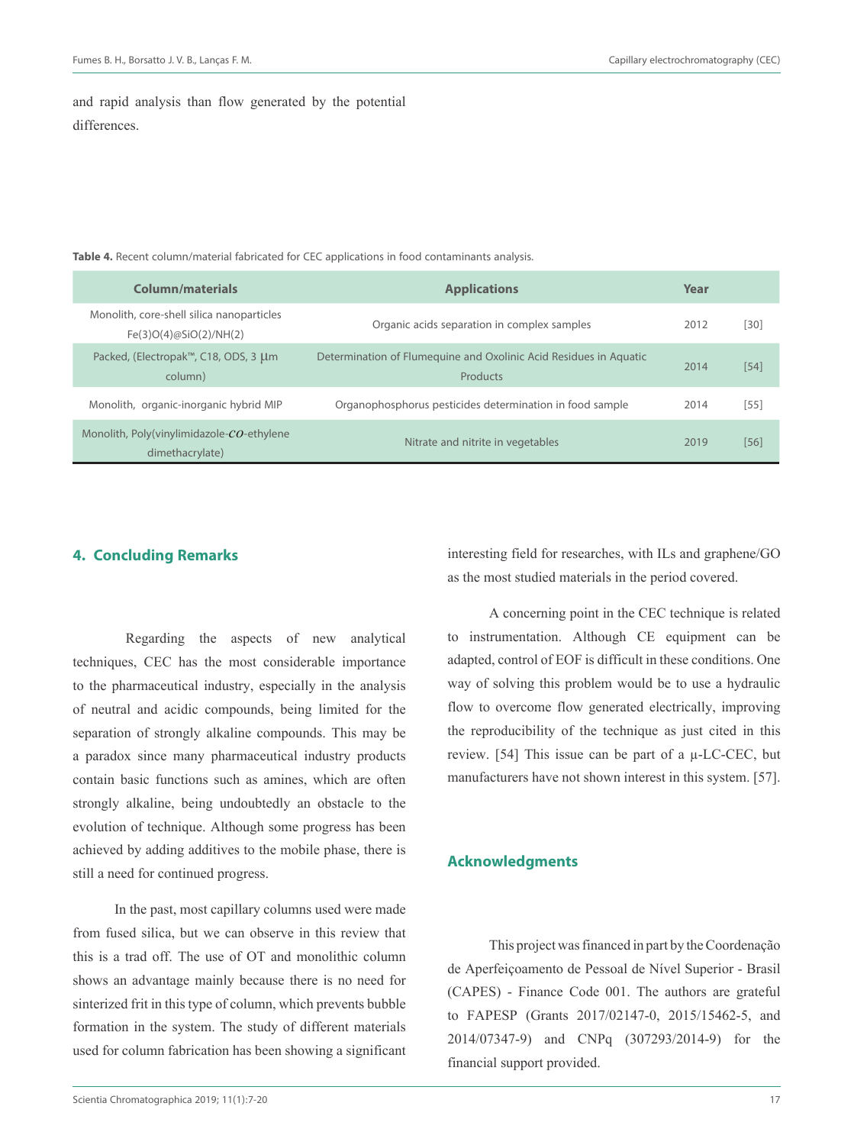$[54]$ 

and rapid analysis than flow generated by the potential differences.

| Column/materials                                                    | <b>Applications</b>                                                           | Year |        |
|---------------------------------------------------------------------|-------------------------------------------------------------------------------|------|--------|
| Monolith, core-shell silica nanoparticles<br>Fe(3)O(4)@SiO(2)/NH(2) | Organic acids separation in complex samples                                   | 2012 | [30]   |
| Packed, (Electropak™, C18, ODS, 3 µm<br>column)                     | Determination of Flumequine and Oxolinic Acid Residues in Aquatic<br>Products | 2014 | [54]   |
| Monolith, organic-inorganic hybrid MIP                              | Organophosphorus pesticides determination in food sample                      | 2014 | $[55]$ |
| Monolith, Poly(vinylimidazole-CO-ethylene<br>dimethacrylate)        | Nitrate and nitrite in vegetables                                             | 2019 | [56]   |
|                                                                     |                                                                               |      |        |

**Table 4.** Recent column/material fabricated for CEC applications in food contaminants analysis.

## **4. Concluding Remarks**

Regarding the aspects of new analytical techniques, CEC has the most considerable importance to the pharmaceutical industry, especially in the analysis of neutral and acidic compounds, being limited for the separation of strongly alkaline compounds. This may be a paradox since many pharmaceutical industry products contain basic functions such as amines, which are often strongly alkaline, being undoubtedly an obstacle to the evolution of technique. Although some progress has been achieved by adding additives to the mobile phase, there is still a need for continued progress.

In the past, most capillary columns used were made from fused silica, but we can observe in this review that this is a trad off. The use of OT and monolithic column shows an advantage mainly because there is no need for sinterized frit in this type of column, which prevents bubble formation in the system. The study of different materials used for column fabrication has been showing a significant

Scientia Chromatographica 2019; 11(1):7-20 17

interesting field for researches, with ILs and graphene/GO as the most studied materials in the period covered.

A concerning point in the CEC technique is related to instrumentation. Although CE equipment can be adapted, control of EOF is difficult in these conditions. One way of solving this problem would be to use a hydraulic flow to overcome flow generated electrically, improving the reproducibility of the technique as just cited in this review. [54] This issue can be part of a µ-LC-CEC, but manufacturers have not shown interest in this system. [57].

## **Acknowledgments**

This project was financed in part by the Coordenação de Aperfeiçoamento de Pessoal de Nível Superior - Brasil (CAPES) - Finance Code 001. The authors are grateful to FAPESP (Grants 2017/02147-0, 2015/15462-5, and 2014/07347-9) and CNPq (307293/2014-9) for the financial support provided.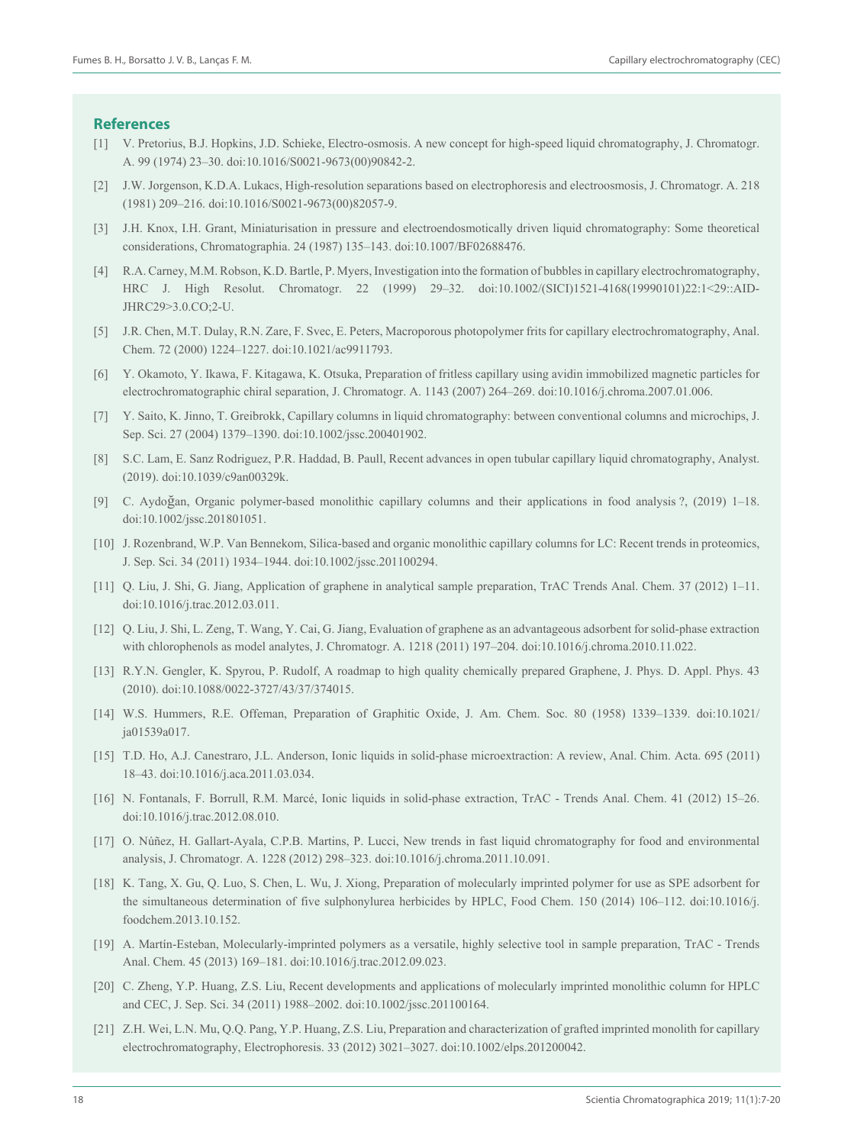#### **References**

- [1] V. Pretorius, B.J. Hopkins, J.D. Schieke, Electro-osmosis. A new concept for high-speed liquid chromatography, J. Chromatogr. A. 99 (1974) 23–30. doi:10.1016/S0021-9673(00)90842-2.
- [2] J.W. Jorgenson, K.D.A. Lukacs, High-resolution separations based on electrophoresis and electroosmosis, J. Chromatogr. A. 218 (1981) 209–216. doi:10.1016/S0021-9673(00)82057-9.
- [3] J.H. Knox, I.H. Grant, Miniaturisation in pressure and electroendosmotically driven liquid chromatography: Some theoretical considerations, Chromatographia. 24 (1987) 135–143. doi:10.1007/BF02688476.
- [4] R.A. Carney, M.M. Robson, K.D. Bartle, P. Myers, Investigation into the formation of bubbles in capillary electrochromatography, HRC J. High Resolut. Chromatogr. 22 (1999) 29–32. doi:10.1002/(SICI)1521-4168(19990101)22:1<29::AID-JHRC29>3.0.CO;2-U.
- [5] J.R. Chen, M.T. Dulay, R.N. Zare, F. Svec, E. Peters, Macroporous photopolymer frits for capillary electrochromatography, Anal. Chem. 72 (2000) 1224–1227. doi:10.1021/ac9911793.
- [6] Y. Okamoto, Y. Ikawa, F. Kitagawa, K. Otsuka, Preparation of fritless capillary using avidin immobilized magnetic particles for electrochromatographic chiral separation, J. Chromatogr. A. 1143 (2007) 264–269. doi:10.1016/j.chroma.2007.01.006.
- [7] Y. Saito, K. Jinno, T. Greibrokk, Capillary columns in liquid chromatography: between conventional columns and microchips, J. Sep. Sci. 27 (2004) 1379–1390. doi:10.1002/jssc.200401902.
- [8] S.C. Lam, E. Sanz Rodriguez, P.R. Haddad, B. Paull, Recent advances in open tubular capillary liquid chromatography, Analyst. (2019). doi:10.1039/c9an00329k.
- [9] C. Aydoğan, Organic polymer-based monolithic capillary columns and their applications in food analysis ?, (2019) 1–18. doi:10.1002/jssc.201801051.
- [10] J. Rozenbrand, W.P. Van Bennekom, Silica-based and organic monolithic capillary columns for LC: Recent trends in proteomics, J. Sep. Sci. 34 (2011) 1934–1944. doi:10.1002/jssc.201100294.
- [11] Q. Liu, J. Shi, G. Jiang, Application of graphene in analytical sample preparation, TrAC Trends Anal. Chem. 37 (2012) 1–11. doi:10.1016/j.trac.2012.03.011.
- [12] Q. Liu, J. Shi, L. Zeng, T. Wang, Y. Cai, G. Jiang, Evaluation of graphene as an advantageous adsorbent for solid-phase extraction with chlorophenols as model analytes, J. Chromatogr. A. 1218 (2011) 197-204. doi:10.1016/j.chroma.2010.11.022.
- [13] R.Y.N. Gengler, K. Spyrou, P. Rudolf, A roadmap to high quality chemically prepared Graphene, J. Phys. D. Appl. Phys. 43 (2010). doi:10.1088/0022-3727/43/37/374015.
- [14] W.S. Hummers, R.E. Offeman, Preparation of Graphitic Oxide, J. Am. Chem. Soc. 80 (1958) 1339–1339. doi:10.1021/ ja01539a017.
- [15] T.D. Ho, A.J. Canestraro, J.L. Anderson, Ionic liquids in solid-phase microextraction: A review, Anal. Chim. Acta. 695 (2011) 18–43. doi:10.1016/j.aca.2011.03.034.
- [16] N. Fontanals, F. Borrull, R.M. Marcé, Ionic liquids in solid-phase extraction, TrAC Trends Anal. Chem. 41 (2012) 15–26. doi:10.1016/j.trac.2012.08.010.
- [17] O. Núñez, H. Gallart-Ayala, C.P.B. Martins, P. Lucci, New trends in fast liquid chromatography for food and environmental analysis, J. Chromatogr. A. 1228 (2012) 298–323. doi:10.1016/j.chroma.2011.10.091.
- [18] K. Tang, X. Gu, Q. Luo, S. Chen, L. Wu, J. Xiong, Preparation of molecularly imprinted polymer for use as SPE adsorbent for the simultaneous determination of five sulphonylurea herbicides by HPLC, Food Chem. 150 (2014) 106–112. doi:10.1016/j. foodchem.2013.10.152.
- [19] A. Martín-Esteban, Molecularly-imprinted polymers as a versatile, highly selective tool in sample preparation, TrAC Trends Anal. Chem. 45 (2013) 169–181. doi:10.1016/j.trac.2012.09.023.
- [20] C. Zheng, Y.P. Huang, Z.S. Liu, Recent developments and applications of molecularly imprinted monolithic column for HPLC and CEC, J. Sep. Sci. 34 (2011) 1988–2002. doi:10.1002/jssc.201100164.
- [21] Z.H. Wei, L.N. Mu, Q.Q. Pang, Y.P. Huang, Z.S. Liu, Preparation and characterization of grafted imprinted monolith for capillary electrochromatography, Electrophoresis. 33 (2012) 3021–3027. doi:10.1002/elps.201200042.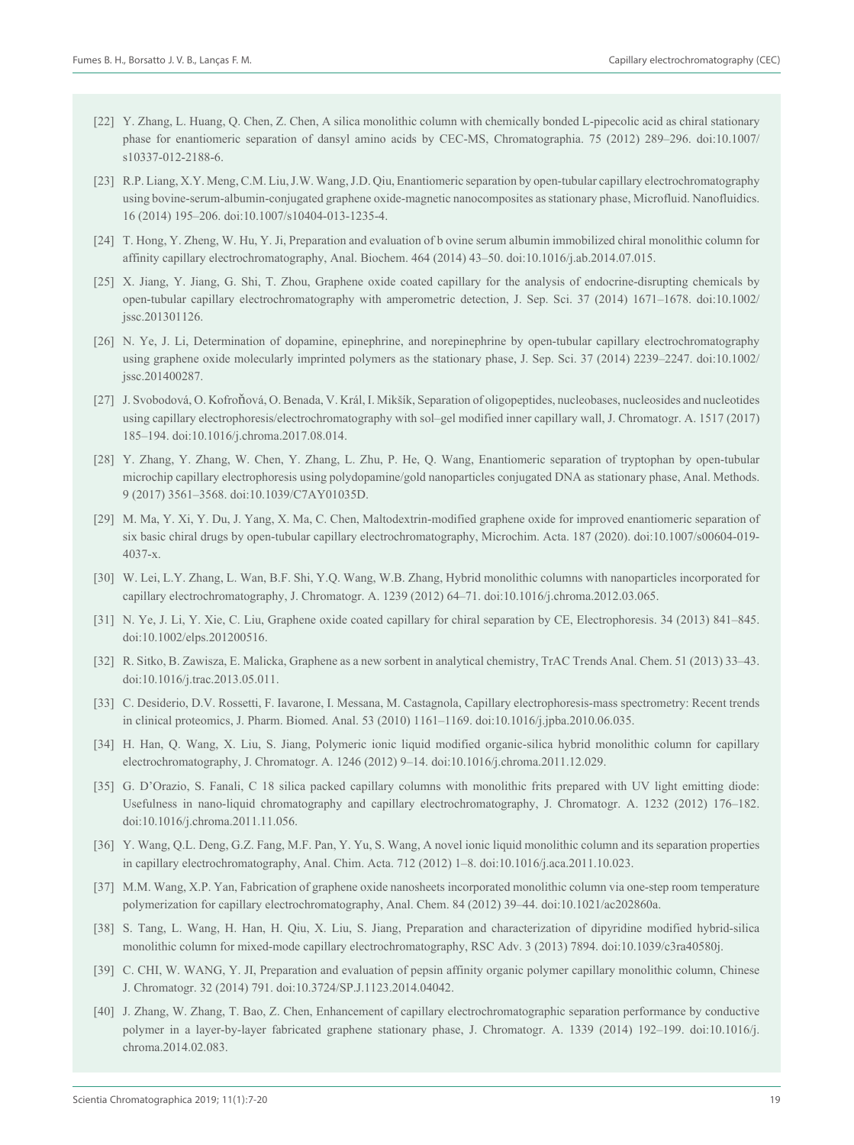- [22] Y. Zhang, L. Huang, Q. Chen, Z. Chen, A silica monolithic column with chemically bonded L-pipecolic acid as chiral stationary phase for enantiomeric separation of dansyl amino acids by CEC-MS, Chromatographia. 75 (2012) 289–296. doi:10.1007/ s10337-012-2188-6.
- [23] R.P. Liang, X.Y. Meng, C.M. Liu, J.W. Wang, J.D. Qiu, Enantiomeric separation by open-tubular capillary electrochromatography using bovine-serum-albumin-conjugated graphene oxide-magnetic nanocomposites as stationary phase, Microfluid. Nanofluidics. 16 (2014) 195–206. doi:10.1007/s10404-013-1235-4.
- [24] T. Hong, Y. Zheng, W. Hu, Y. Ji, Preparation and evaluation of b ovine serum albumin immobilized chiral monolithic column for affinity capillary electrochromatography, Anal. Biochem. 464 (2014) 43–50. doi:10.1016/j.ab.2014.07.015.
- [25] X. Jiang, Y. Jiang, G. Shi, T. Zhou, Graphene oxide coated capillary for the analysis of endocrine-disrupting chemicals by open-tubular capillary electrochromatography with amperometric detection, J. Sep. Sci. 37 (2014) 1671–1678. doi:10.1002/ jssc.201301126.
- [26] N. Ye, J. Li, Determination of dopamine, epinephrine, and norepinephrine by open-tubular capillary electrochromatography using graphene oxide molecularly imprinted polymers as the stationary phase, J. Sep. Sci. 37 (2014) 2239–2247. doi:10.1002/ jssc.201400287.
- [27] J. Svobodová, O. Kofroňová, O. Benada, V. Král, I. Mikšík, Separation of oligopeptides, nucleobases, nucleosides and nucleotides using capillary electrophoresis/electrochromatography with sol–gel modified inner capillary wall, J. Chromatogr. A. 1517 (2017) 185–194. doi:10.1016/j.chroma.2017.08.014.
- [28] Y. Zhang, Y. Zhang, W. Chen, Y. Zhang, L. Zhu, P. He, Q. Wang, Enantiomeric separation of tryptophan by open-tubular microchip capillary electrophoresis using polydopamine/gold nanoparticles conjugated DNA as stationary phase, Anal. Methods. 9 (2017) 3561–3568. doi:10.1039/C7AY01035D.
- [29] M. Ma, Y. Xi, Y. Du, J. Yang, X. Ma, C. Chen, Maltodextrin-modified graphene oxide for improved enantiomeric separation of six basic chiral drugs by open-tubular capillary electrochromatography, Microchim. Acta. 187 (2020). doi:10.1007/s00604-019- 4037-x.
- [30] W. Lei, L.Y. Zhang, L. Wan, B.F. Shi, Y.Q. Wang, W.B. Zhang, Hybrid monolithic columns with nanoparticles incorporated for capillary electrochromatography, J. Chromatogr. A. 1239 (2012) 64–71. doi:10.1016/j.chroma.2012.03.065.
- [31] N. Ye, J. Li, Y. Xie, C. Liu, Graphene oxide coated capillary for chiral separation by CE, Electrophoresis. 34 (2013) 841–845. doi:10.1002/elps.201200516.
- [32] R. Sitko, B. Zawisza, E. Malicka, Graphene as a new sorbent in analytical chemistry, TrAC Trends Anal. Chem. 51 (2013) 33–43. doi:10.1016/j.trac.2013.05.011.
- [33] C. Desiderio, D.V. Rossetti, F. Iavarone, I. Messana, M. Castagnola, Capillary electrophoresis-mass spectrometry: Recent trends in clinical proteomics, J. Pharm. Biomed. Anal. 53 (2010) 1161–1169. doi:10.1016/j.jpba.2010.06.035.
- [34] H. Han, Q. Wang, X. Liu, S. Jiang, Polymeric ionic liquid modified organic-silica hybrid monolithic column for capillary electrochromatography, J. Chromatogr. A. 1246 (2012) 9–14. doi:10.1016/j.chroma.2011.12.029.
- [35] G. D'Orazio, S. Fanali, C 18 silica packed capillary columns with monolithic frits prepared with UV light emitting diode: Usefulness in nano-liquid chromatography and capillary electrochromatography, J. Chromatogr. A. 1232 (2012) 176–182. doi:10.1016/j.chroma.2011.11.056.
- [36] Y. Wang, Q.L. Deng, G.Z. Fang, M.F. Pan, Y. Yu, S. Wang, A novel ionic liquid monolithic column and its separation properties in capillary electrochromatography, Anal. Chim. Acta. 712 (2012) 1–8. doi:10.1016/j.aca.2011.10.023.
- [37] M.M. Wang, X.P. Yan, Fabrication of graphene oxide nanosheets incorporated monolithic column via one-step room temperature polymerization for capillary electrochromatography, Anal. Chem. 84 (2012) 39–44. doi:10.1021/ac202860a.
- [38] S. Tang, L. Wang, H. Han, H. Qiu, X. Liu, S. Jiang, Preparation and characterization of dipyridine modified hybrid-silica monolithic column for mixed-mode capillary electrochromatography, RSC Adv. 3 (2013) 7894. doi:10.1039/c3ra40580j.
- [39] C. CHI, W. WANG, Y. JI, Preparation and evaluation of pepsin affinity organic polymer capillary monolithic column, Chinese J. Chromatogr. 32 (2014) 791. doi:10.3724/SP.J.1123.2014.04042.
- [40] J. Zhang, W. Zhang, T. Bao, Z. Chen, Enhancement of capillary electrochromatographic separation performance by conductive polymer in a layer-by-layer fabricated graphene stationary phase, J. Chromatogr. A. 1339 (2014) 192–199. doi:10.1016/j. chroma.2014.02.083.